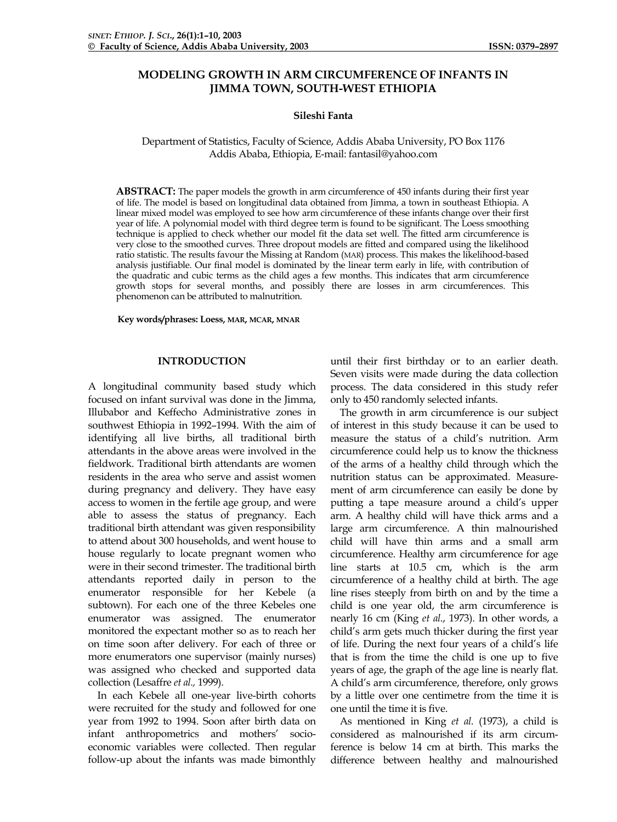# **MODELING GROWTH IN ARM CIRCUMFERENCE OF INFANTS IN JIMMA TOWN, SOUTH-WEST ETHIOPIA**

## **Sileshi Fanta**

# Department of Statistics, Faculty of Science, Addis Ababa University, PO Box 1176 Addis Ababa, Ethiopia, E-mail: fantasil@yahoo.com

**ABSTRACT:** The paper models the growth in arm circumference of 450 infants during their first year of life. The model is based on longitudinal data obtained from Jimma, a town in southeast Ethiopia. A linear mixed model was employed to see how arm circumference of these infants change over their first year of life. A polynomial model with third degree term is found to be significant. The Loess smoothing technique is applied to check whether our model fit the data set well. The fitted arm circumference is very close to the smoothed curves. Three dropout models are fitted and compared using the likelihood ratio statistic. The results favour the Missing at Random (MAR) process. This makes the likelihood-based analysis justifiable. Our final model is dominated by the linear term early in life, with contribution of the quadratic and cubic terms as the child ages a few months. This indicates that arm circumference growth stops for several months, and possibly there are losses in arm circumferences. This phenomenon can be attributed to malnutrition.

**Key words/phrases: Loess, MAR, MCAR, MNAR**

### **INTRODUCTION**

A longitudinal community based study which focused on infant survival was done in the Jimma, Illubabor and Keffecho Administrative zones in southwest Ethiopia in 1992–1994. With the aim of identifying all live births, all traditional birth attendants in the above areas were involved in the fieldwork. Traditional birth attendants are women residents in the area who serve and assist women during pregnancy and delivery. They have easy access to women in the fertile age group, and were able to assess the status of pregnancy. Each traditional birth attendant was given responsibility to attend about 300 households, and went house to house regularly to locate pregnant women who were in their second trimester. The traditional birth attendants reported daily in person to the enumerator responsible for her Kebele (a subtown). For each one of the three Kebeles one enumerator was assigned. The enumerator monitored the expectant mother so as to reach her on time soon after delivery. For each of three or more enumerators one supervisor (mainly nurses) was assigned who checked and supported data collection (Lesaffre *et al.,* 1999).

 In each Kebele all one-year live-birth cohorts were recruited for the study and followed for one year from 1992 to 1994. Soon after birth data on infant anthropometrics and mothers' socioeconomic variables were collected. Then regular follow-up about the infants was made bimonthly until their first birthday or to an earlier death. Seven visits were made during the data collection process. The data considered in this study refer only to 450 randomly selected infants.

 The growth in arm circumference is our subject of interest in this study because it can be used to measure the status of a child's nutrition. Arm circumference could help us to know the thickness of the arms of a healthy child through which the nutrition status can be approximated. Measurement of arm circumference can easily be done by putting a tape measure around a child's upper arm. A healthy child will have thick arms and a large arm circumference. A thin malnourished child will have thin arms and a small arm circumference. Healthy arm circumference for age line starts at 10.5 cm, which is the arm circumference of a healthy child at birth. The age line rises steeply from birth on and by the time a child is one year old, the arm circumference is nearly 16 cm (King *et al*., 1973). In other words, a child's arm gets much thicker during the first year of life. During the next four years of a child's life that is from the time the child is one up to five years of age, the graph of the age line is nearly flat. A child's arm circumference, therefore, only grows by a little over one centimetre from the time it is one until the time it is five.

 As mentioned in King *et al*. (1973), a child is considered as malnourished if its arm circumference is below 14 cm at birth. This marks the difference between healthy and malnourished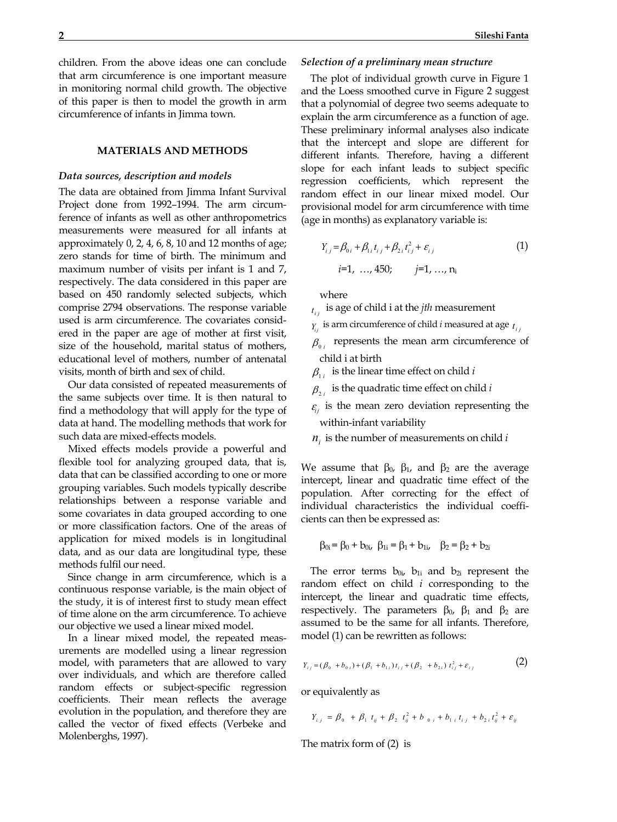children. From the above ideas one can conclude that arm circumference is one important measure in monitoring normal child growth. The objective of this paper is then to model the growth in arm circumference of infants in Jimma town.

## **MATERIALS AND METHODS**

### *Data sources, description and models*

The data are obtained from Jimma Infant Survival Project done from 1992–1994. The arm circumference of infants as well as other anthropometrics measurements were measured for all infants at approximately  $0, 2, 4, 6, 8, 10$  and 12 months of age; zero stands for time of birth. The minimum and maximum number of visits per infant is 1 and 7, respectively. The data considered in this paper are based on 450 randomly selected subjects, which comprise 2794 observations. The response variable used is arm circumference. The covariates considered in the paper are age of mother at first visit, size of the household, marital status of mothers, educational level of mothers, number of antenatal visits, month of birth and sex of child.

Our data consisted of repeated measurements of the same subjects over time. It is then natural to find a methodology that will apply for the type of data at hand. The modelling methods that work for such data are mixed-effects models.

Mixed effects models provide a powerful and flexible tool for analyzing grouped data, that is, data that can be classified according to one or more grouping variables. Such models typically describe relationships between a response variable and some covariates in data grouped according to one or more classification factors. One of the areas of application for mixed models is in longitudinal data, and as our data are longitudinal type, these methods fulfil our need.

Since change in arm circumference, which is a continuous response variable, is the main object of the study, it is of interest first to study mean effect of time alone on the arm circumference. To achieve our objective we used a linear mixed model.

In a linear mixed model, the repeated measurements are modelled using a linear regression model, with parameters that are allowed to vary over individuals, and which are therefore called random effects or subject-specific regression coefficients. Their mean reflects the average evolution in the population, and therefore they are called the vector of fixed effects (Verbeke and Molenberghs, 1997).

#### *Selection of a preliminary mean structure*

The plot of individual growth curve in Figure 1 and the Loess smoothed curve in Figure 2 suggest that a polynomial of degree two seems adequate to explain the arm circumference as a function of age. These preliminary informal analyses also indicate that the intercept and slope are different for different infants. Therefore, having a different slope for each infant leads to subject specific regression coefficients, which represent the random effect in our linear mixed model. Our provisional model for arm circumference with time (age in months) as explanatory variable is:

$$
Y_{ij} = \beta_{0i} + \beta_{1i} t_{ij} + \beta_{2i} t_{ij}^2 + \varepsilon_{ij}
$$
  
\n $i=1, ..., 450; \qquad j=1, ..., n_i$  (1)

where

 $i_{ij}$  is age of child i at the *jth* measurement

 $Y_i$  is arm circumference of child *i* measured at age  $t_{i,j}$ 

- $\beta_{0i}$  represents the mean arm circumference of child i at birth
- $\beta_{1i}$  is the linear time effect on child *i*
- $\beta_{2i}$  is the quadratic time effect on child *i*
- $\epsilon_i$  is the mean zero deviation representing the within-infant variability
- $n_i$  is the number of measurements on child  $i$

We assume that  $β_0$ ,  $β_1$ , and  $β_2$  are the average intercept, linear and quadratic time effect of the population. After correcting for the effect of individual characteristics the individual coefficients can then be expressed as:

$$
\beta_{0i} = \beta_0 + b_{0i}, \ \beta_{1i} = \beta_1 + b_{1i}, \quad \beta_2 = \beta_2 + b_{2i}
$$

The error terms  $b_{0i}$ ,  $b_{1i}$  and  $b_{2i}$  represent the random effect on child *i* corresponding to the intercept, the linear and quadratic time effects, respectively. The parameters  $β_0$ ,  $β_1$  and  $β_2$  are assumed to be the same for all infants. Therefore, model (1) can be rewritten as follows:

$$
Y_{ij} = (\beta_0 + b_{0i}) + (\beta_1 + b_{1i})t_{ij} + (\beta_2 + b_{2i})t_{ij}^2 + \varepsilon_{ij}
$$
 (2)

or equivalently as

 $Y_{ij} = \beta_0 + \beta_1 t_{ij} + \beta_2 t_{ij}^2 + b_{0i} t_{i} + b_{1i} t_{ij} + b_{2i} t_{ij}^2 + \varepsilon_{ij}$ 

The matrix form of (2) is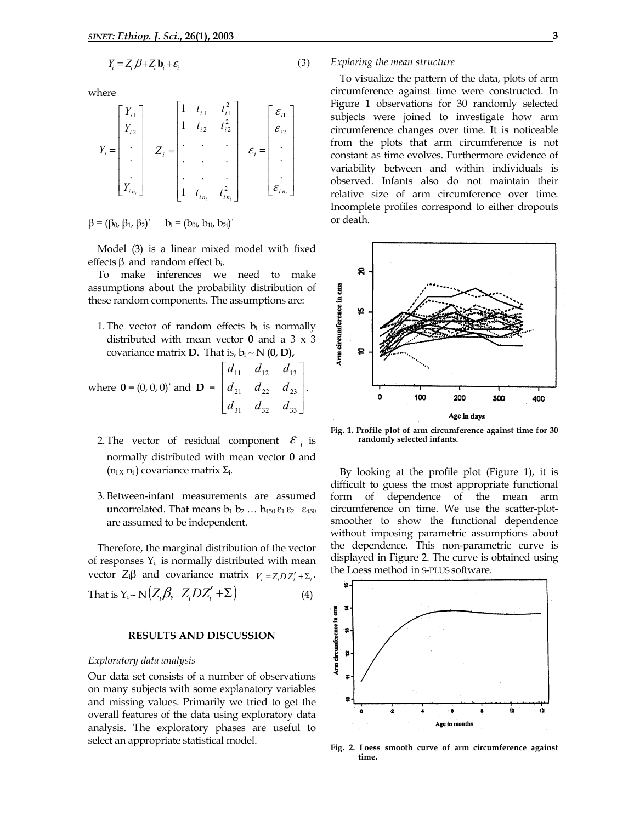$$
Y_i = Z_i \beta + Z_i \mathbf{b}_i + \varepsilon_i \tag{3}
$$

where

$$
Y_i = \begin{bmatrix} Y_{i1} \\ Y_{i2} \\ \vdots \\ Y_{in_i} \end{bmatrix} \quad Z_i = \begin{bmatrix} 1 & t_{i1} & t_{i1}^2 \\ 1 & t_{i2} & t_{i2}^2 \\ \vdots & \vdots & \vdots \\ \vdots & \vdots & \vdots \\ 1 & t_{i n_i} & t_{i n_i}^2 \end{bmatrix} \quad \varepsilon_i = \begin{bmatrix} \varepsilon_{i1} \\ \varepsilon_{i2} \\ \vdots \\ \vdots \\ \varepsilon_{i n_i} \end{bmatrix}
$$

 $\beta = (\beta_0, \beta_1, \beta_2)$ ' b<sub>i</sub> = (b<sub>0i</sub>, b<sub>1i</sub>, b<sub>2i</sub>)'

Model (3) is a linear mixed model with fixed effects  $β$  and random effect  $b_i$ .

To make inferences we need to make assumptions about the probability distribution of these random components. The assumptions are:

1. The vector of random effects  $b_i$  is normally distributed with mean vector **0** and a 3 x 3 covariance matrix **D.** That is,  $b_i \sim N$  (0, **D**),

where 
$$
\mathbf{0} = (0, 0, 0)'
$$
 and  $\mathbf{D} = \begin{bmatrix} d_{11} & d_{12} & d_{13} \\ d_{21} & d_{22} & d_{23} \\ d_{31} & d_{32} & d_{33} \end{bmatrix}$ .

- 2. The vector of residual component  $\mathcal{E}_i$  is normally distributed with mean vector **0** and  $(n_i \times n_i)$  covariance matrix  $\Sigma_i$ .
- 3. Between-infant measurements are assumed uncorrelated. That means  $b_1$   $b_2$   $\ldots$   $b_{450}$   $\varepsilon_1$   $\varepsilon_2$   $\varepsilon_{450}$ are assumed to be independent.

Therefore, the marginal distribution of the vector of responses  $Y_i$  is normally distributed with mean vector  $Z_i\beta$  and covariance matrix  $V_i = Z_i D Z'_i + \Sigma_i$ . That is  $Y_i \sim N(Z_i \beta, Z_i D Z_i' + \Sigma)$  (4)

### **RESULTS AND DISCUSSION**

### *Exploratory data analysis*

Our data set consists of a number of observations on many subjects with some explanatory variables and missing values. Primarily we tried to get the overall features of the data using exploratory data analysis. The exploratory phases are useful to select an appropriate statistical model.

## *Exploring the mean structure*

To visualize the pattern of the data, plots of arm circumference against time were constructed. In Figure 1 observations for 30 randomly selected subjects were joined to investigate how arm circumference changes over time. It is noticeable from the plots that arm circumference is not constant as time evolves. Furthermore evidence of variability between and within individuals is observed. Infants also do not maintain their relative size of arm circumference over time. Incomplete profiles correspond to either dropouts or death.



**Fig. 1. Profile plot of arm circumference against time for 30 randomly selected infants.** 

By looking at the profile plot (Figure 1), it is difficult to guess the most appropriate functional form of dependence of the mean arm circumference on time. We use the scatter-plotsmoother to show the functional dependence without imposing parametric assumptions about the dependence. This non-parametric curve is displayed in Figure 2. The curve is obtained using the Loess method in S-PLUS software.



**Fig. 2. Loess smooth curve of arm circumference against time.**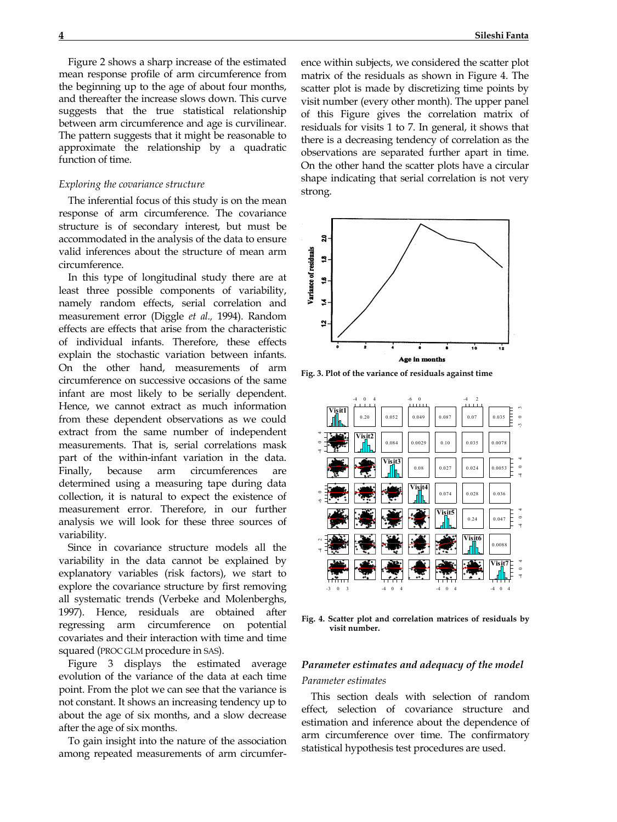Figure 2 shows a sharp increase of the estimated mean response profile of arm circumference from the beginning up to the age of about four months, and thereafter the increase slows down. This curve suggests that the true statistical relationship between arm circumference and age is curvilinear. The pattern suggests that it might be reasonable to approximate the relationship by a quadratic function of time.

#### *Exploring the covariance structure*

The inferential focus of this study is on the mean response of arm circumference. The covariance structure is of secondary interest, but must be accommodated in the analysis of the data to ensure valid inferences about the structure of mean arm circumference.

In this type of longitudinal study there are at least three possible components of variability, namely random effects, serial correlation and measurement error (Diggle *et al.,* 1994). Random effects are effects that arise from the characteristic of individual infants. Therefore, these effects explain the stochastic variation between infants. On the other hand, measurements of arm circumference on successive occasions of the same infant are most likely to be serially dependent. Hence, we cannot extract as much information from these dependent observations as we could extract from the same number of independent measurements. That is, serial correlations mask part of the within-infant variation in the data. Finally, because arm circumferences are determined using a measuring tape during data collection, it is natural to expect the existence of measurement error. Therefore, in our further analysis we will look for these three sources of variability.

Since in covariance structure models all the variability in the data cannot be explained by explanatory variables (risk factors), we start to explore the covariance structure by first removing all systematic trends (Verbeke and Molenberghs, 1997). Hence, residuals are obtained after regressing arm circumference on potential covariates and their interaction with time and time squared (PROC GLM procedure in SAS).

Figure 3 displays the estimated average evolution of the variance of the data at each time point. From the plot we can see that the variance is not constant. It shows an increasing tendency up to about the age of six months, and a slow decrease after the age of six months.

To gain insight into the nature of the association among repeated measurements of arm circumference within subjects, we considered the scatter plot matrix of the residuals as shown in Figure 4. The scatter plot is made by discretizing time points by visit number (every other month). The upper panel of this Figure gives the correlation matrix of residuals for visits 1 to 7. In general, it shows that there is a decreasing tendency of correlation as the observations are separated further apart in time. On the other hand the scatter plots have a circular shape indicating that serial correlation is not very strong.



**Fig. 3. Plot of the variance of residuals against time** 



**Fig. 4. Scatter plot and correlation matrices of residuals by visit number.** 

# *Parameter estimates and adequacy of the model Parameter estimates*

This section deals with selection of random effect, selection of covariance structure and estimation and inference about the dependence of arm circumference over time. The confirmatory statistical hypothesis test procedures are used.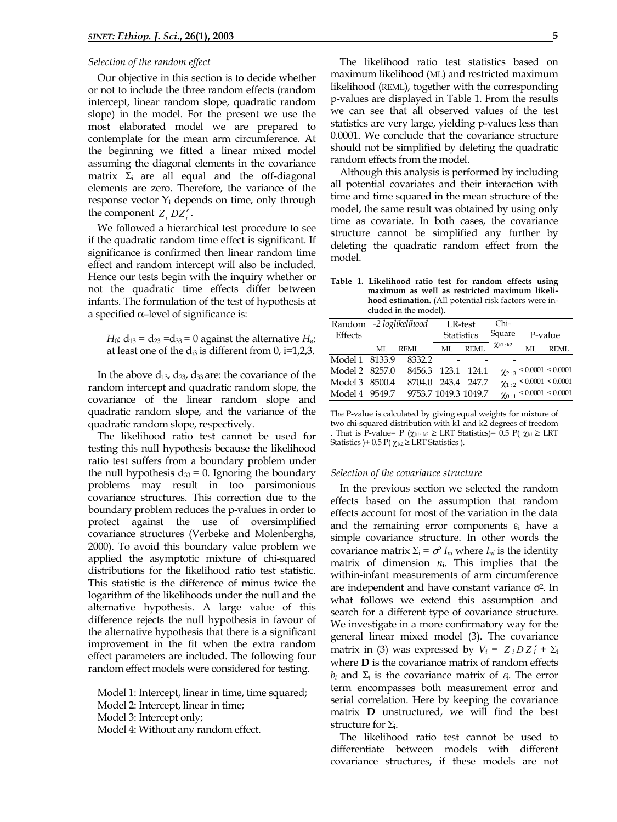## *Selection of the random effect*

Our objective in this section is to decide whether or not to include the three random effects (random intercept, linear random slope, quadratic random slope) in the model. For the present we use the most elaborated model we are prepared to contemplate for the mean arm circumference. At the beginning we fitted a linear mixed model assuming the diagonal elements in the covariance matrix  $\Sigma_i$  are all equal and the off-diagonal elements are zero. Therefore, the variance of the response vector Yi depends on time, only through the component  $Z_i$   $DZ'_i$ .

We followed a hierarchical test procedure to see if the quadratic random time effect is significant. If significance is confirmed then linear random time effect and random intercept will also be included. Hence our tests begin with the inquiry whether or not the quadratic time effects differ between infants. The formulation of the test of hypothesis at a specified α–level of significance is:

*H*<sub>0</sub>:  $d_{13} = d_{23} = d_{33} = 0$  against the alternative *H*<sub>a</sub>: at least one of the  $d_{i3}$  is different from 0, i=1,2,3.

In the above  $d_{13}$ ,  $d_{23}$ ,  $d_{33}$  are: the covariance of the random intercept and quadratic random slope, the covariance of the linear random slope and quadratic random slope, and the variance of the quadratic random slope, respectively.

The likelihood ratio test cannot be used for testing this null hypothesis because the likelihood ratio test suffers from a boundary problem under the null hypothesis  $d_{33} = 0$ . Ignoring the boundary problems may result in too parsimonious covariance structures. This correction due to the boundary problem reduces the p-values in order to protect against the use of oversimplified covariance structures (Verbeke and Molenberghs, 2000). To avoid this boundary value problem we applied the asymptotic mixture of chi-squared distributions for the likelihood ratio test statistic. This statistic is the difference of minus twice the logarithm of the likelihoods under the null and the alternative hypothesis. A large value of this difference rejects the null hypothesis in favour of the alternative hypothesis that there is a significant improvement in the fit when the extra random effect parameters are included. The following four random effect models were considered for testing.

Model 1: Intercept, linear in time, time squared;

Model 2: Intercept, linear in time;

Model 3: Intercept only;

Model 4: Without any random effect.

The likelihood ratio test statistics based on maximum likelihood (ML) and restricted maximum likelihood (REML), together with the corresponding p-values are displayed in Table 1. From the results we can see that all observed values of the test statistics are very large, yielding p-values less than 0.0001. We conclude that the covariance structure should not be simplified by deleting the quadratic random effects from the model.

Although this analysis is performed by including all potential covariates and their interaction with time and time squared in the mean structure of the model, the same result was obtained by using only time as covariate. In both cases, the covariance structure cannot be simplified any further by deleting the quadratic random effect from the model.

**Table 1. Likelihood ratio test for random effects using maximum as well as restricted maximum likelihood estimation.** (All potential risk factors were included in the model).

| Random -2 loglikelihood |     |                      |                   | LR-test     | Chi-              |                                |       |
|-------------------------|-----|----------------------|-------------------|-------------|-------------------|--------------------------------|-------|
| Effects                 |     |                      | <b>Statistics</b> |             | Square<br>P-value |                                |       |
|                         | ML. | REML                 | ML                | <b>REML</b> | $\chi_{k1:k2}$    | ML.                            | REMI. |
| Model 1 8133.9          |     | 8332.2               |                   |             |                   |                                |       |
| Model 2 8257.0          |     | 8456.3 123.1 124.1   |                   |             |                   | $\chi_{2:3}$ < 0.0001 < 0.0001 |       |
| Model 3 8500.4          |     | 8704.0 243.4 247.7   |                   |             |                   | $\chi_{1:2}$ < 0.0001 < 0.0001 |       |
| Model 4 9549.7          |     | 9753.7 1049.3 1049.7 |                   |             |                   | $\chi_{0:1}$ < 0.0001 < 0.0001 |       |

The P-value is calculated by giving equal weights for mixture of two chi-squared distribution with k1 and k2 degrees of freedom That is P-value= P ( $\chi_{k1: k2} \geq \text{LRT}$  Statistics)= 0.5 P( $\chi_{k1} \geq \text{LRT}$ Statistics )+ 0.5 P( $\chi$ <sub>k2</sub>  $\geq$  LRT Statistics ).

#### *Selection of the covariance structure*

In the previous section we selected the random effects based on the assumption that random effects account for most of the variation in the data and the remaining error components  $\varepsilon_i$  have a simple covariance structure. In other words the covariance matrix  $\Sigma_i = \sigma^2 I_{ni}$  where  $I_{ni}$  is the identity matrix of dimension  $n_i$ . This implies that the within-infant measurements of arm circumference are independent and have constant variance  $σ²$ . In what follows we extend this assumption and search for a different type of covariance structure. We investigate in a more confirmatory way for the general linear mixed model (3). The covariance matrix in (3) was expressed by  $V_i = Z_i D Z'_i + \Sigma_i$ where **D** is the covariance matrix of random effects *b<sub>i</sub>* and  $\Sigma$ <sub>*i*</sub> is the covariance matrix of  $\varepsilon$ <sup>*i*</sup>. The error term encompasses both measurement error and serial correlation. Here by keeping the covariance matrix **D** unstructured, we will find the best structure for  $\Sigma_i$ .

The likelihood ratio test cannot be used to differentiate between models with different covariance structures, if these models are not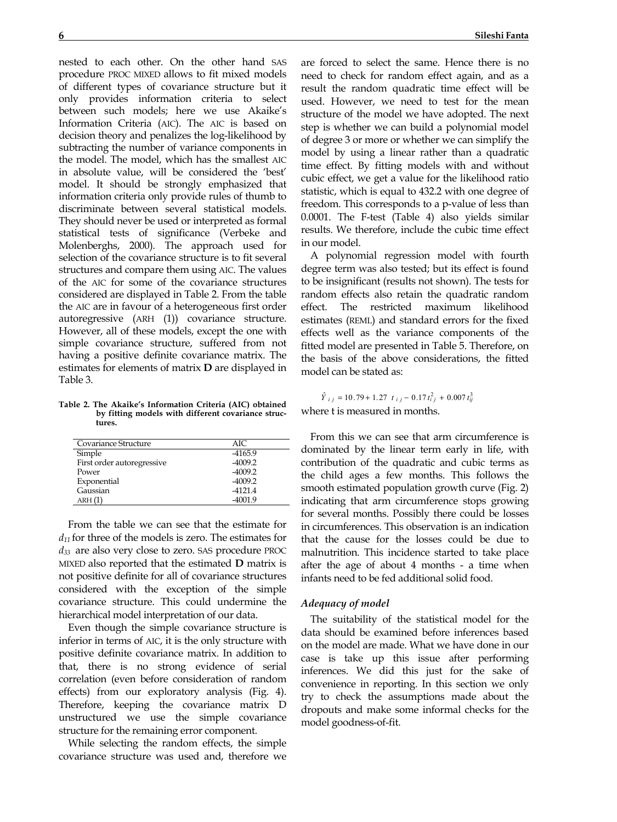nested to each other. On the other hand SAS procedure PROC MIXED allows to fit mixed models of different types of covariance structure but it only provides information criteria to select between such models; here we use Akaike's Information Criteria (AIC). The AIC is based on decision theory and penalizes the log-likelihood by subtracting the number of variance components in the model. The model, which has the smallest AIC in absolute value, will be considered the 'best' model. It should be strongly emphasized that information criteria only provide rules of thumb to discriminate between several statistical models. They should never be used or interpreted as formal statistical tests of significance (Verbeke and Molenberghs, 2000). The approach used for selection of the covariance structure is to fit several structures and compare them using AIC. The values of the AIC for some of the covariance structures considered are displayed in Table 2. From the table the AIC are in favour of a heterogeneous first order autoregressive (ARH (1)) covariance structure. However, all of these models, except the one with simple covariance structure, suffered from not having a positive definite covariance matrix. The estimates for elements of matrix **D** are displayed in Table 3.

**Table 2. The Akaike's Information Criteria (AIC) obtained by fitting models with different covariance structures.**

| Covariance Structure       | AIC       |
|----------------------------|-----------|
| Simple                     | $-4165.9$ |
| First order autoregressive | $-4009.2$ |
| Power                      | $-4009.2$ |
| Exponential                | $-4009.2$ |
| Gaussian                   | $-4121.4$ |
| ARH(1)                     | $-4001.9$ |

From the table we can see that the estimate for *d11* for three of the models is zero. The estimates for *d33* are also very close to zero. SAS procedure PROC MIXED also reported that the estimated **D** matrix is not positive definite for all of covariance structures considered with the exception of the simple covariance structure. This could undermine the hierarchical model interpretation of our data.

Even though the simple covariance structure is inferior in terms of AIC, it is the only structure with positive definite covariance matrix. In addition to that, there is no strong evidence of serial correlation (even before consideration of random effects) from our exploratory analysis (Fig. 4). Therefore, keeping the covariance matrix D unstructured we use the simple covariance structure for the remaining error component.

While selecting the random effects, the simple covariance structure was used and, therefore we

are forced to select the same. Hence there is no need to check for random effect again, and as a result the random quadratic time effect will be used. However, we need to test for the mean structure of the model we have adopted. The next step is whether we can build a polynomial model of degree 3 or more or whether we can simplify the model by using a linear rather than a quadratic time effect. By fitting models with and without cubic effect, we get a value for the likelihood ratio statistic, which is equal to 432.2 with one degree of freedom. This corresponds to a p-value of less than 0.0001. The F-test (Table 4) also yields similar results. We therefore, include the cubic time effect in our model.

A polynomial regression model with fourth degree term was also tested; but its effect is found to be insignificant (results not shown). The tests for random effects also retain the quadratic random effect. The restricted maximum likelihood estimates (REML) and standard errors for the fixed effects well as the variance components of the fitted model are presented in Table 5. Therefore, on the basis of the above considerations, the fitted model can be stated as:

 $\hat{Y}_{i j} = 10.79 + 1.27 t_{i j} - 0.17 t_{i j}^2 + 0.007 t_{i j}^3$ where t is measured in months.

From this we can see that arm circumference is dominated by the linear term early in life, with contribution of the quadratic and cubic terms as the child ages a few months. This follows the smooth estimated population growth curve (Fig. 2) indicating that arm circumference stops growing for several months. Possibly there could be losses in circumferences. This observation is an indication that the cause for the losses could be due to malnutrition. This incidence started to take place after the age of about 4 months - a time when infants need to be fed additional solid food.

#### *Adequacy of model*

The suitability of the statistical model for the data should be examined before inferences based on the model are made. What we have done in our case is take up this issue after performing inferences. We did this just for the sake of convenience in reporting. In this section we only try to check the assumptions made about the dropouts and make some informal checks for the model goodness-of-fit.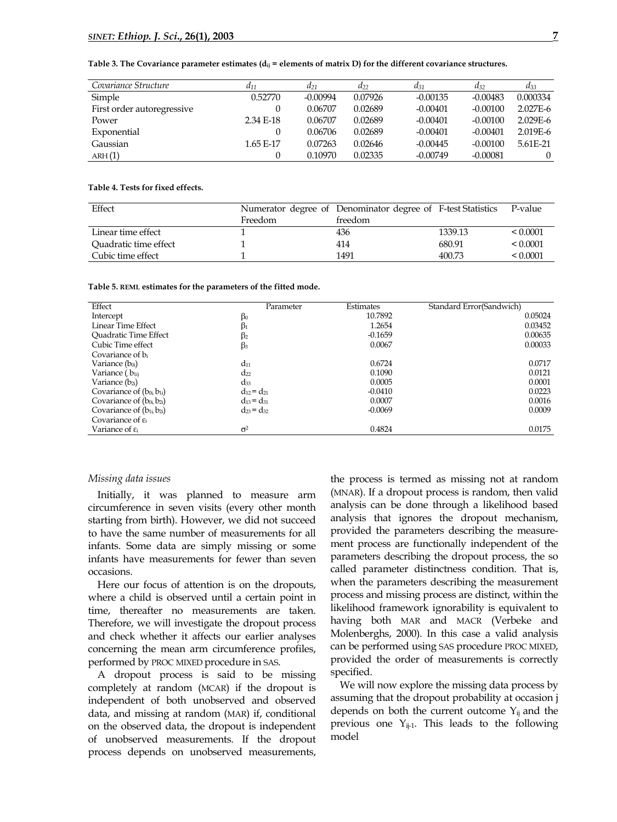**Table 3. The Covariance parameter estimates (dij = elements of matrix D) for the different covariance structures.** 

| Covariance Structure       | $a_{11}$  | a <sub>21</sub> | $d_{22}$ | $a_{31}$   | $a_{32}$   | $a_{33}$   |
|----------------------------|-----------|-----------------|----------|------------|------------|------------|
| Simple                     | 0.52770   | $-0.00994$      | 0.07926  | $-0.00135$ | $-0.00483$ | 0.000334   |
| First order autoregressive |           | 0.06707         | 0.02689  | $-0.00401$ | $-0.00100$ | 2.027E-6   |
| Power                      | 2.34 F-18 | 0.06707         | 0.02689  | $-0.00401$ | $-0.00100$ | 2.029E-6   |
| Exponential                |           | 0.06706         | 0.02689  | $-0.00401$ | $-0.00401$ | 2.019E-6   |
| Gaussian                   | 1.65 F-17 | 0.07263         | 0.02646  | $-0.00445$ | $-0.00100$ | $5.61E-21$ |
| ARH(1)                     |           | 0.10970         | 0.02335  | $-0.00749$ | $-0.00081$ | $\Omega$   |

#### **Table 4. Tests for fixed effects.**

| Effect                |         | Numerator degree of Denominator degree of F-test Statistics |         | P-value       |
|-----------------------|---------|-------------------------------------------------------------|---------|---------------|
|                       | Freedom | freedom                                                     |         |               |
| Linear time effect    |         | 436                                                         | 1339.13 | < 0.0001      |
| Quadratic time effect |         | 414                                                         | 680.91  | < 0.0001      |
| Cubic time effect     |         | 1491                                                        | 400.73  | ${}_{0.0001}$ |

#### **Table 5. REML estimates for the parameters of the fitted mode.**

| Effect                           | Parameter         | Estimates | Standard Error (Sandwich) |
|----------------------------------|-------------------|-----------|---------------------------|
| Intercept                        | $\beta_0$         | 10.7892   | 0.05024                   |
|                                  |                   |           |                           |
| Linear Time Effect               | $\beta_1$         | 1.2654    | 0.03452                   |
| <b>Ouadratic Time Effect</b>     | $\beta_2$         | $-0.1659$ | 0.00635                   |
| Cubic Time effect                | $\beta_3$         | 0.0067    | 0.00033                   |
| Covariance of b                  |                   |           |                           |
| Variance (b <sub>0i</sub> )      | $d_{11}$          | 0.6724    | 0.0717                    |
| Variance $(b_{1i})$              | $d_{22}$          | 0.1090    | 0.0121                    |
| Variance (b <sub>2i</sub> )      | $d_{33}$          | 0.0005    | 0.0001                    |
| Covariance of $(b_{0i}, b_{1i})$ | $d_{12} = d_{21}$ | $-0.0410$ | 0.0223                    |
| Covariance of $(b_{0i}, b_{2i})$ | $d_{13} = d_{31}$ | 0.0007    | 0.0016                    |
| Covariance of $(b_{1i}, b_{2i})$ | $d_{23} = d_{32}$ | $-0.0069$ | 0.0009                    |
| Covariance of $\varepsilon_i$    |                   |           |                           |
| Variance of ε <sub>i</sub>       | $\sigma^2$        | 0.4824    | 0.0175                    |

#### *Missing data issues*

 Initially, it was planned to measure arm circumference in seven visits (every other month starting from birth). However, we did not succeed to have the same number of measurements for all infants. Some data are simply missing or some infants have measurements for fewer than seven occasions.

 Here our focus of attention is on the dropouts, where a child is observed until a certain point in time, thereafter no measurements are taken. Therefore, we will investigate the dropout process and check whether it affects our earlier analyses concerning the mean arm circumference profiles, performed by PROC MIXED procedure in SAS.

 A dropout process is said to be missing completely at random (MCAR) if the dropout is independent of both unobserved and observed data, and missing at random (MAR) if, conditional on the observed data, the dropout is independent of unobserved measurements. If the dropout process depends on unobserved measurements, the process is termed as missing not at random (MNAR). If a dropout process is random, then valid analysis can be done through a likelihood based analysis that ignores the dropout mechanism, provided the parameters describing the measurement process are functionally independent of the parameters describing the dropout process, the so called parameter distinctness condition. That is, when the parameters describing the measurement process and missing process are distinct, within the likelihood framework ignorability is equivalent to having both MAR and MACR (Verbeke and Molenberghs, 2000). In this case a valid analysis can be performed using SAS procedure PROC MIXED, provided the order of measurements is correctly specified.

 We will now explore the missing data process by assuming that the dropout probability at occasion j depends on both the current outcome  $Y_{ij}$  and the previous one  $Y_{ii-1}$ . This leads to the following model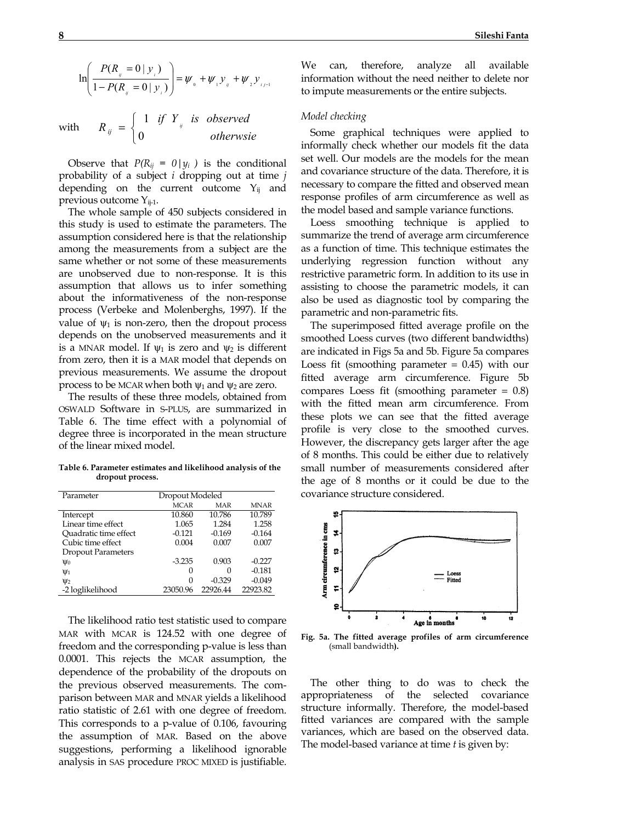$$
\ln\left(\frac{P(R_{ij} = 0 \mid y_i)}{1 - P(R_{ij} = 0 \mid y_i)}\right) = \psi_{0} + \psi_{1} y_{ij} + \psi_{2} y_{ij-1}
$$

with  $\overline{\mathcal{L}}$  $=\begin{cases} 1 & \text{if} \ \ Y_{y} & \text{is} \ \ \text{otherwise} \end{cases}$  $R_{ij} = \begin{cases} 1 & j \neq i, \\ 0 & j \neq j. \end{cases}$ 1

Observe that  $P(R_{ij} = 0 | y_i)$  is the conditional probability of a subject *i* dropping out at time *j* depending on the current outcome  $Y_{ii}$  and previous outcome  $Y_{ij-1}$ .

The whole sample of 450 subjects considered in this study is used to estimate the parameters. The assumption considered here is that the relationship among the measurements from a subject are the same whether or not some of these measurements are unobserved due to non-response. It is this assumption that allows us to infer something about the informativeness of the non-response process (Verbeke and Molenberghs, 1997). If the value of  $\psi_1$  is non-zero, then the dropout process depends on the unobserved measurements and it is a MNAR model. If  $\psi_1$  is zero and  $\psi_2$  is different from zero, then it is a MAR model that depends on previous measurements. We assume the dropout process to be MCAR when both  $\psi_1$  and  $\psi_2$  are zero.

The results of these three models, obtained from OSWALD Software in S-PLUS, are summarized in Table 6. The time effect with a polynomial of degree three is incorporated in the mean structure of the linear mixed model.

**Table 6. Parameter estimates and likelihood analysis of the dropout process.** 

| Parameter                    | Dropout Modeled |            |             |  |  |
|------------------------------|-----------------|------------|-------------|--|--|
|                              | <b>MCAR</b>     | <b>MAR</b> | <b>MNAR</b> |  |  |
| Intercept                    | 10.860          | 10.786     | 10.789      |  |  |
| Linear time effect           | 1.065           | 1.284      | 1.258       |  |  |
| <b>Ouadratic time effect</b> | $-0.121$        | $-0.169$   | $-0.164$    |  |  |
| Cubic time effect            | 0.004           | 0.007      | 0.007       |  |  |
| <b>Dropout Parameters</b>    |                 |            |             |  |  |
| $\Psi_0$                     | $-3.235$        | 0.903      | $-0.227$    |  |  |
| $\Psi_1$                     | 0               | 0          | $-0.181$    |  |  |
| $\Psi$ <sub>2</sub>          | $\Omega$        | $-0.329$   | $-0.049$    |  |  |
| -2 loglikelihood             | 23050.96        | 22926.44   | 22923.82    |  |  |

The likelihood ratio test statistic used to compare MAR with MCAR is 124.52 with one degree of freedom and the corresponding p-value is less than 0.0001. This rejects the MCAR assumption, the dependence of the probability of the dropouts on the previous observed measurements. The comparison between MAR and MNAR yields a likelihood ratio statistic of 2.61 with one degree of freedom. This corresponds to a p-value of 0.106, favouring the assumption of MAR. Based on the above suggestions, performing a likelihood ignorable analysis in SAS procedure PROC MIXED is justifiable.

We can, therefore, analyze all available information without the need neither to delete nor to impute measurements or the entire subjects.

### *Model checking*

Some graphical techniques were applied to informally check whether our models fit the data set well. Our models are the models for the mean and covariance structure of the data. Therefore, it is necessary to compare the fitted and observed mean response profiles of arm circumference as well as the model based and sample variance functions.

Loess smoothing technique is applied to summarize the trend of average arm circumference as a function of time. This technique estimates the underlying regression function without any restrictive parametric form. In addition to its use in assisting to choose the parametric models, it can also be used as diagnostic tool by comparing the parametric and non-parametric fits.

The superimposed fitted average profile on the smoothed Loess curves (two different bandwidths) are indicated in Figs 5a and 5b. Figure 5a compares Loess fit (smoothing parameter  $= 0.45$ ) with our fitted average arm circumference. Figure 5b compares Loess fit (smoothing parameter = 0.8) with the fitted mean arm circumference. From these plots we can see that the fitted average profile is very close to the smoothed curves. However, the discrepancy gets larger after the age of 8 months. This could be either due to relatively small number of measurements considered after the age of 8 months or it could be due to the covariance structure considered.



**Fig. 5a. The fitted average profiles of arm circumference** (small bandwidth**).** 

The other thing to do was to check the appropriateness of the selected covariance structure informally. Therefore, the model-based fitted variances are compared with the sample variances, which are based on the observed data. The model-based variance at time *t* is given by: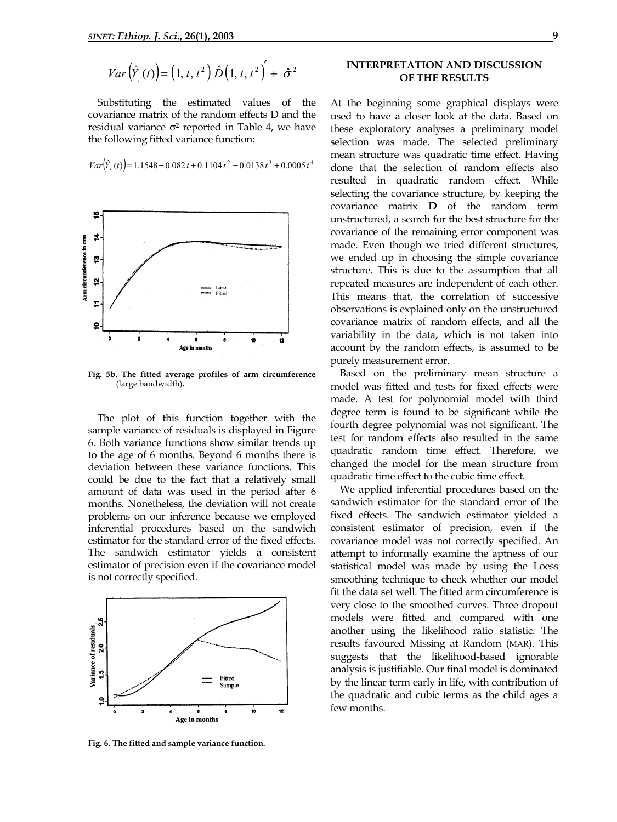$$
Var\left(\hat{Y}_i(t)\right) = (1, t, t^2) \hat{D}(1, t, t^2) + \hat{\sigma}^2
$$

Substituting the estimated values of the covariance matrix of the random effects D and the residual variance  $\sigma^2$  reported in Table 4, we have the following fitted variance function:

$$
Var(\hat{Y}_i(t)) = 1.1548 - 0.082t + 0.1104t^2 - 0.0138t^3 + 0.0005t^4
$$



**Fig. 5b. The fitted average profiles of arm circumference** (large bandwidth)**.** 

The plot of this function together with the sample variance of residuals is displayed in Figure 6. Both variance functions show similar trends up to the age of 6 months. Beyond 6 months there is deviation between these variance functions. This could be due to the fact that a relatively small amount of data was used in the period after 6 months. Nonetheless, the deviation will not create problems on our inference because we employed inferential procedures based on the sandwich estimator for the standard error of the fixed effects. The sandwich estimator yields a consistent estimator of precision even if the covariance model is not correctly specified.



**Fig. 6. The fitted and sample variance function.** 

## **INTERPRETATION AND DISCUSSION OF THE RESULTS**

At the beginning some graphical displays were used to have a closer look at the data. Based on these exploratory analyses a preliminary model selection was made. The selected preliminary mean structure was quadratic time effect. Having done that the selection of random effects also resulted in quadratic random effect. While selecting the covariance structure, by keeping the covariance matrix **D** of the random term unstructured, a search for the best structure for the covariance of the remaining error component was made. Even though we tried different structures, we ended up in choosing the simple covariance structure. This is due to the assumption that all repeated measures are independent of each other. This means that, the correlation of successive observations is explained only on the unstructured covariance matrix of random effects, and all the variability in the data, which is not taken into account by the random effects, is assumed to be purely measurement error.

Based on the preliminary mean structure a model was fitted and tests for fixed effects were made. A test for polynomial model with third degree term is found to be significant while the fourth degree polynomial was not significant. The test for random effects also resulted in the same quadratic random time effect. Therefore, we changed the model for the mean structure from quadratic time effect to the cubic time effect.

We applied inferential procedures based on the sandwich estimator for the standard error of the fixed effects. The sandwich estimator yielded a consistent estimator of precision, even if the covariance model was not correctly specified. An attempt to informally examine the aptness of our statistical model was made by using the Loess smoothing technique to check whether our model fit the data set well. The fitted arm circumference is very close to the smoothed curves. Three dropout models were fitted and compared with one another using the likelihood ratio statistic. The results favoured Missing at Random (MAR). This suggests that the likelihood-based ignorable analysis is justifiable. Our final model is dominated by the linear term early in life, with contribution of the quadratic and cubic terms as the child ages a few months.